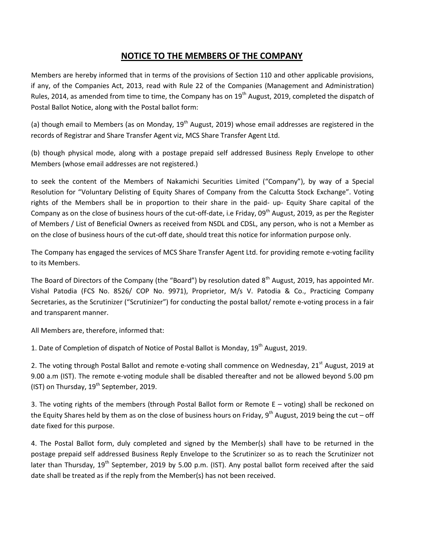## **NOTICE TO THE MEMBERS OF THE COMPANY**

Members are hereby informed that in terms of the provisions of Section 110 and other applicable provisions, if any, of the Companies Act, 2013, read with Rule 22 of the Companies (Management and Administration) Rules, 2014, as amended from time to time, the Company has on 19<sup>th</sup> August, 2019, completed the dispatch of Postal Ballot Notice, along with the Postal ballot form:

(a) though email to Members (as on Monday,  $19<sup>th</sup>$  August, 2019) whose email addresses are registered in the records of Registrar and Share Transfer Agent viz, MCS Share Transfer Agent Ltd.

(b) though physical mode, along with a postage prepaid self addressed Business Reply Envelope to other Members (whose email addresses are not registered.)

to seek the content of the Members of Nakamichi Securities Limited ("Company"), by way of a Special Resolution for "Voluntary Delisting of Equity Shares of Company from the Calcutta Stock Exchange". Voting rights of the Members shall be in proportion to their share in the paid- up- Equity Share capital of the Company as on the close of business hours of the cut-off-date, i.e Friday, 09<sup>th</sup> August, 2019, as per the Register of Members / List of Beneficial Owners as received from NSDL and CDSL, any person, who is not a Member as on the close of business hours of the cut-off date, should treat this notice for information purpose only.

The Company has engaged the services of MCS Share Transfer Agent Ltd. for providing remote e-voting facility to its Members.

The Board of Directors of the Company (the "Board") by resolution dated  $8<sup>th</sup>$  August, 2019, has appointed Mr. Vishal Patodia (FCS No. 8526/ COP No. 9971), Proprietor, M/s V. Patodia & Co., Practicing Company Secretaries, as the Scrutinizer ("Scrutinizer") for conducting the postal ballot/ remote e-voting process in a fair and transparent manner.

All Members are, therefore, informed that:

1. Date of Completion of dispatch of Notice of Postal Ballot is Monday, 19<sup>th</sup> August, 2019.

2. The voting through Postal Ballot and remote e-voting shall commence on Wednesday, 21<sup>st</sup> August, 2019 at 9.00 a.m (IST). The remote e-voting module shall be disabled thereafter and not be allowed beyond 5.00 pm (IST) on Thursday,  $19^{th}$  September, 2019.

3. The voting rights of the members (through Postal Ballot form or Remote E – voting) shall be reckoned on the Equity Shares held by them as on the close of business hours on Friday, 9<sup>th</sup> August, 2019 being the cut – off date fixed for this purpose.

4. The Postal Ballot form, duly completed and signed by the Member(s) shall have to be returned in the postage prepaid self addressed Business Reply Envelope to the Scrutinizer so as to reach the Scrutinizer not later than Thursday, 19<sup>th</sup> September, 2019 by 5.00 p.m. (IST). Any postal ballot form received after the said date shall be treated as if the reply from the Member(s) has not been received.